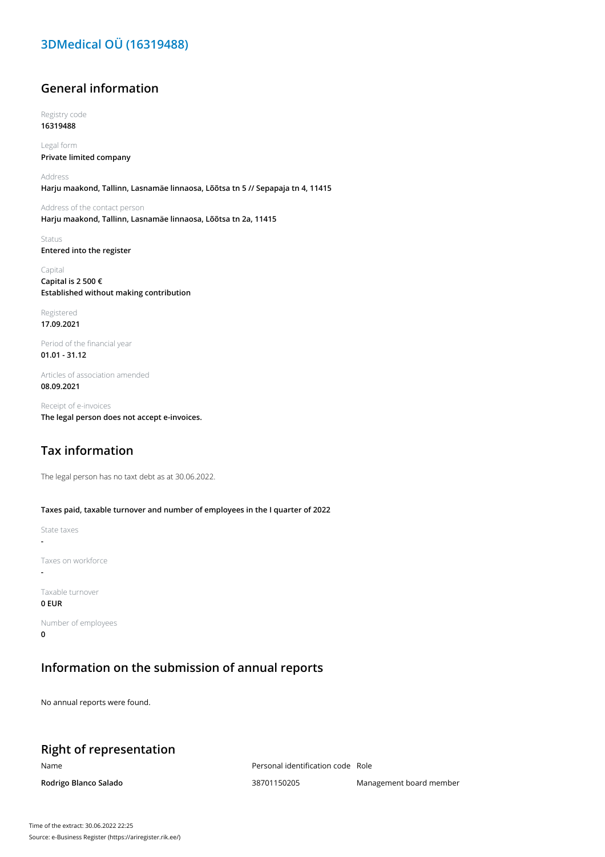# **3DMedical OÜ (16319488)**

## **General information**

Registry code **16319488**

Legal form **Private limited company**

Address **Harju maakond, Tallinn, Lasnamäe linnaosa, Lõõtsa tn 5 // Sepapaja tn 4, 11415**

Address of the contact person **Harju maakond, Tallinn, Lasnamäe linnaosa, Lõõtsa tn 2a, 11415**

Status **Entered into the register**

Capital **Capital is 2 500 € Established without making contribution**

Registered **17.09.2021**

Period of the financial year **01.01 - 31.12**

Articles of association amended **08.09.2021**

Receipt of e-invoices **The legal person does not accept e-invoices.**

## **Tax information**

The legal person has no taxt debt as at 30.06.2022.

**Taxes paid, taxable turnover and number of employees in the I quarter of 2022**

State taxes **-** Taxes on workforce **-** Taxable turnover **0 EUR**

Number of employees **0**

#### **Information on the submission of annual reports**

No annual reports were found.

## **Right of representation**

Name Personal identification code Role

**Rodrigo Blanco Salado** 38701150205 Management board member